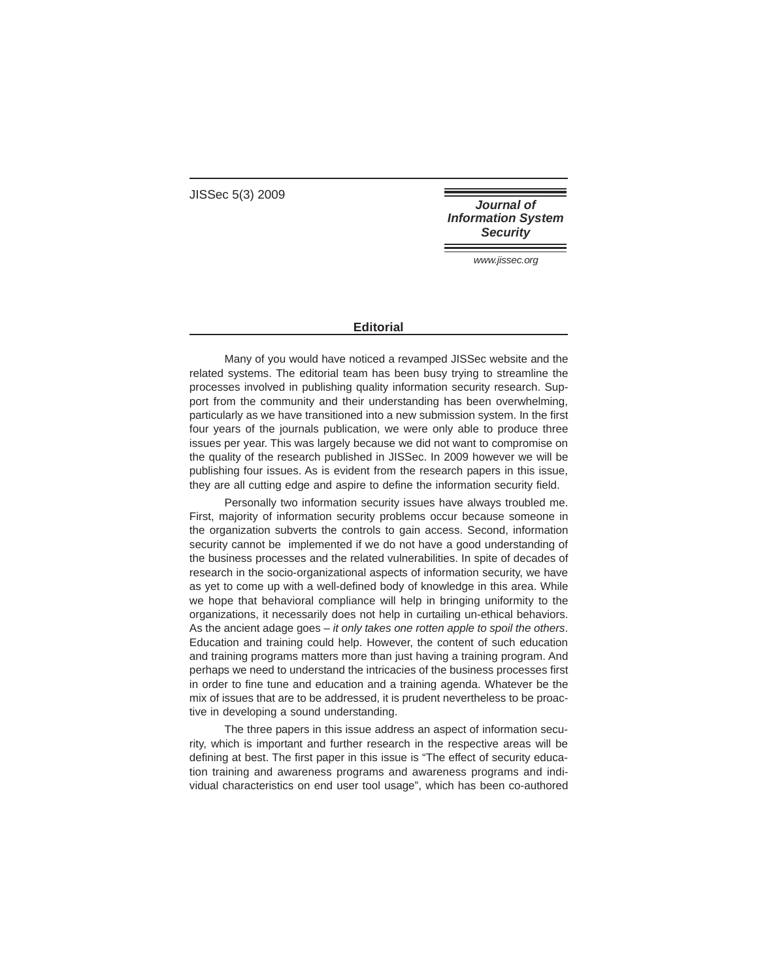JISSec 5(3) 2009

**Journal of Information System Security** 

www.jissec.org

## **Editorial**

Many of you would have noticed a revamped JISSec website and the related systems. The editorial team has been busy trying to streamline the processes involved in publishing quality information security research. Support from the community and their understanding has been overwhelming, particularly as we have transitioned into a new submission system. In the first four years of the journals publication, we were only able to produce three issues per year. This was largely because we did not want to compromise on the quality of the research published in JISSec. In 2009 however we will be publishing four issues. As is evident from the research papers in this issue, they are all cutting edge and aspire to define the information security field.

Personally two information security issues have always troubled me. First, majority of information security problems occur because someone in the organization subverts the controls to gain access. Second, information security cannot be implemented if we do not have a good understanding of the business processes and the related vulnerabilities. In spite of decades of research in the socio-organizational aspects of information security, we have as yet to come up with a well-defined body of knowledge in this area. While we hope that behavioral compliance will help in bringing uniformity to the organizations, it necessarily does not help in curtailing un-ethical behaviors. As the ancient adage goes  $-$  it only takes one rotten apple to spoil the others. Education and training could help. However, the content of such education and training programs matters more than just having a training program. And perhaps we need to understand the intricacies of the business processes first in order to fine tune and education and a training agenda. Whatever be the mix of issues that are to be addressed, it is prudent nevertheless to be proactive in developing a sound understanding.

The three papers in this issue address an aspect of information security, which is important and further research in the respective areas will be defining at best. The first paper in this issue is "The effect of security education training and awareness programs and awareness programs and individual characteristics on end user tool usage", which has been co-authored